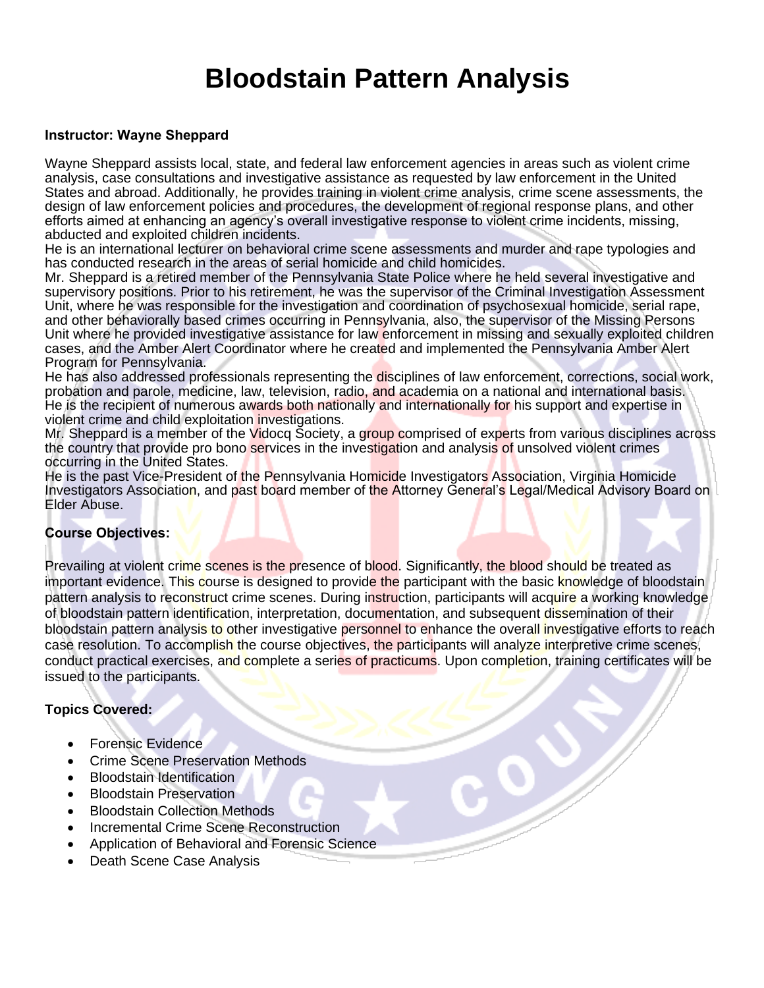### **Bloodstain Pattern Analysis**

#### **Instructor: Wayne Sheppard**

Wayne Sheppard assists local, state, and federal law enforcement agencies in areas such as violent crime analysis, case consultations and investigative assistance as requested by law enforcement in the United States and abroad. Additionally, he provides training in violent crime analysis, crime scene assessments, the design of law enforcement policies and procedures, the development of regional response plans, and other efforts aimed at enhancing an agency's overall investigative response to violent crime incidents, missing, abducted and exploited children incidents.

He is an international lecturer on behavioral crime scene assessments and murder and rape typologies and has conducted research in the areas of serial homicide and child homicides.

Mr. Sheppard is a retired member of the Pennsylvania State Police where he held several investigative and supervisory positions. Prior to his retirement, he was the supervisor of the Criminal Investigation Assessment Unit, where he was responsible for the investigation and coordination of psychosexual homicide, serial rape, and other behaviorally based crimes occurring in Pennsylvania, also, the supervisor of the Missing Persons Unit where he provided investigative assistance for law enforcement in missing and sexually exploited children cases, and the Amber Alert Coordinator where he created and implemented the Pennsylvania Amber Alert Program for Pennsylvania.

He has also addressed professionals representing the disciplines of law enforcement, corrections, social work, probation and parole, medicine, law, television, radio, and academia on a national and international basis. He is the recipient of numerous awards both nationally and internationally for his support and expertise in violent crime and child exploitation investigations.

Mr. Sheppard is a member of the Vidocq Society, a group comprised of experts from various disciplines across the country that provide pro bono services in the investigation and analysis of unsolved violent crimes occurring in the United States.

He is the past Vice-President of the Pennsylvania Homicide Investigators Association, Virginia Homicide Investigators Association, and past board member of the Attorney General's Legal/Medical Advisory Board on Elder Abuse.

#### **Course Objectives:**

Prevailing at violent crime scenes is the presence of blood. Significantly, the blood should be treated as important evidence. This course is designed to provide the participant with the basic knowledge of bloodstain pattern analysis to reconstruct crime scenes. During instruction, participants will acquire a working knowledge of bloodstain pattern identification, interpretation, documentation, and subsequent dissemination of their bloodstain pattern analysis to other investigative personnel to enhance the overall investigative efforts to reach case resolution. To accomplish the course objectives, the participants will analyze interpretive crime scenes, conduct practical exercises, and complete a series of practicums. Upon completion, training certificates will be issued to the participants.

#### **Topics Covered:**

- Forensic Evidence
- Crime Scene Preservation Methods
- Bloodstain Identification
- Bloodstain Preservation
- **Bloodstain Collection Methods**
- Incremental Crime Scene Reconstruction
- Application of Behavioral and Forensic Science
- Death Scene Case Analysis